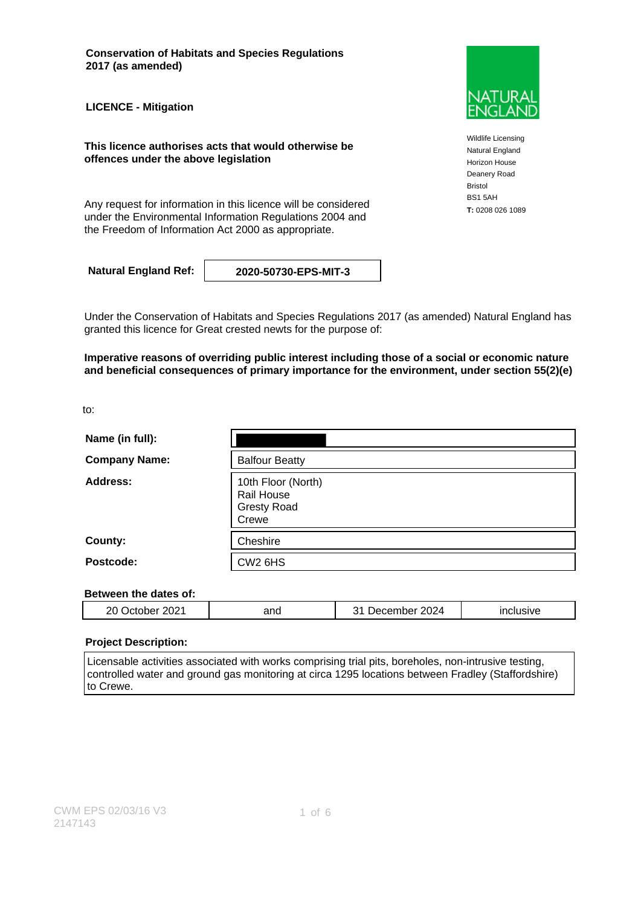**Conservation of Habitats and Species Regulations 2017 (as amended)**

**LICENCE - Mitigation**

**This licence authorises acts that would otherwise be offences under the above legislation**

Any request for information in this licence will be considered **T**: 0208 026 1089 under the Environmental Information Regulations 2004 and the Freedom of Information Act 2000 as appropriate.

**Natural England Ref: 2020-50730-EPS-MIT-3**

Under the Conservation of Habitats and Species Regulations 2017 (as amended) Natural England has granted this licence for Great crested newts for the purpose of:

**Imperative reasons of overriding public interest including those of a social or economic nature and beneficial consequences of primary importance for the environment, under section 55(2)(e)**

to:

| Name (in full):      |                                                                 |
|----------------------|-----------------------------------------------------------------|
| <b>Company Name:</b> | <b>Balfour Beatty</b>                                           |
| <b>Address:</b>      | 10th Floor (North)<br>Rail House<br><b>Gresty Road</b><br>Crewe |
| County:              | Cheshire                                                        |
| Postcode:            | CW <sub>2</sub> 6HS                                             |

### **Between the dates of:**

| 2024<br>nnn.<br>חכ<br>usive<br>and<br><br>$\mathbf{r}$<br>ember<br>، برر<br>LUZ L |  |  |  |  |
|-----------------------------------------------------------------------------------|--|--|--|--|
|-----------------------------------------------------------------------------------|--|--|--|--|

#### **Project Description:**

Licensable activities associated with works comprising trial pits, boreholes, non-intrusive testing, controlled water and ground gas monitoring at circa 1295 locations between Fradley (Staffordshire) to Crewe.



Wildlife Licensing Natural England Horizon House Deanery Road Bristol BS1 5AH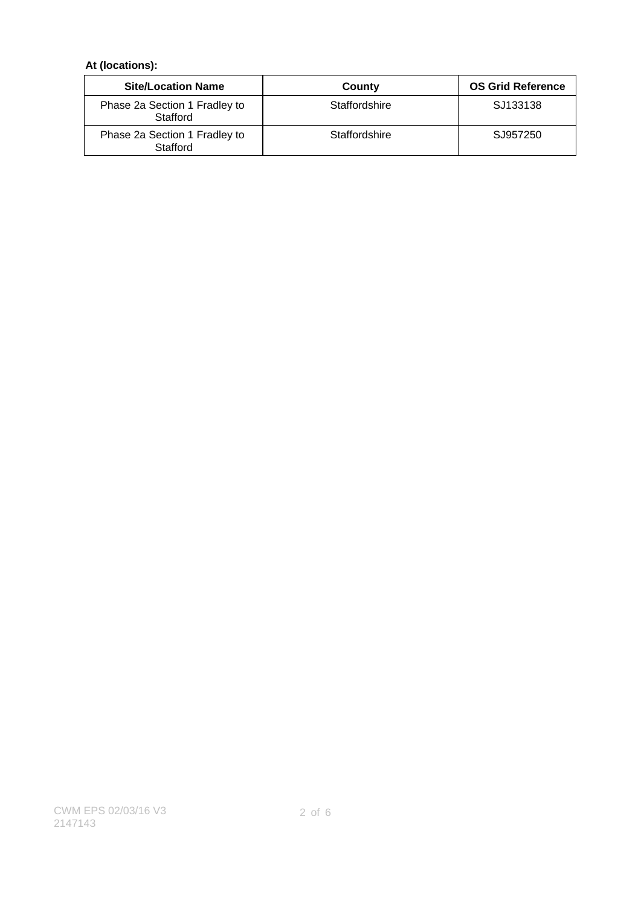### **At (locations):**

| <b>Site/Location Name</b>                 | County        | <b>OS Grid Reference</b> |
|-------------------------------------------|---------------|--------------------------|
| Phase 2a Section 1 Fradley to<br>Stafford | Staffordshire | SJ133138                 |
| Phase 2a Section 1 Fradley to<br>Stafford | Staffordshire | SJ957250                 |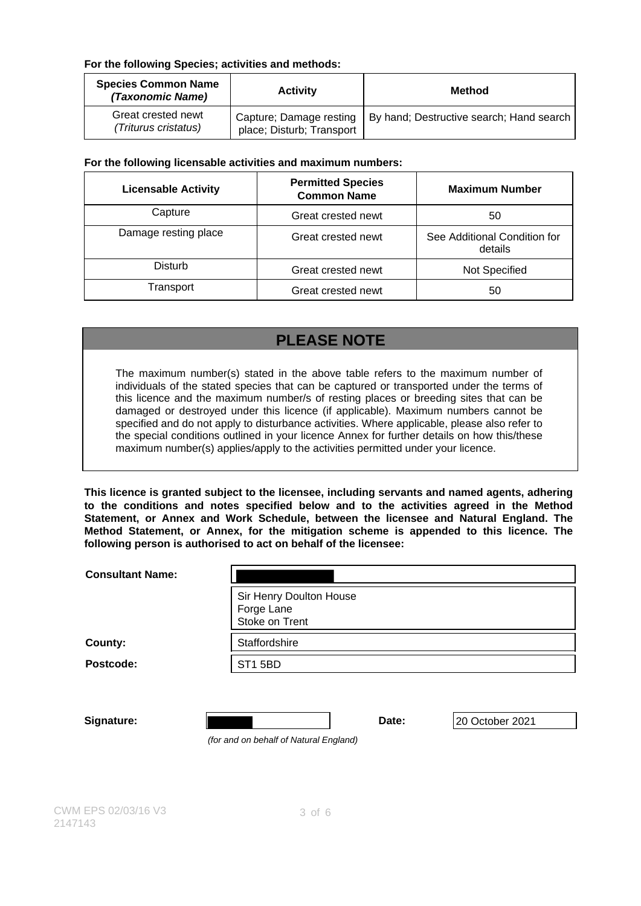### **For the following Species; activities and methods:**

| <b>Species Common Name</b><br>(Taxonomic Name) | <b>Activity</b>                                      | <b>Method</b>                            |
|------------------------------------------------|------------------------------------------------------|------------------------------------------|
| Great crested newt<br>(Triturus cristatus)     | Capture; Damage resting<br>place; Disturb; Transport | By hand; Destructive search; Hand search |

### **For the following licensable activities and maximum numbers:**

| <b>Licensable Activity</b> | <b>Permitted Species</b><br><b>Common Name</b> | <b>Maximum Number</b>                   |
|----------------------------|------------------------------------------------|-----------------------------------------|
| Capture                    | Great crested newt                             | 50                                      |
| Damage resting place       | Great crested newt                             | See Additional Condition for<br>details |
| Disturb                    | Great crested newt                             | Not Specified                           |
| Transport                  | Great crested newt                             | 50                                      |

# **PLEASE NOTE**

The maximum number(s) stated in the above table refers to the maximum number of individuals of the stated species that can be captured or transported under the terms of this licence and the maximum number/s of resting places or breeding sites that can be damaged or destroyed under this licence (if applicable). Maximum numbers cannot be specified and do not apply to disturbance activities. Where applicable, please also refer to the special conditions outlined in your licence Annex for further details on how this/these maximum number(s) applies/apply to the activities permitted under your licence.

**This licence is granted subject to the licensee, including servants and named agents, adhering to the conditions and notes specified below and to the activities agreed in the Method Statement, or Annex and Work Schedule, between the licensee and Natural England. The Method Statement, or Annex, for the mitigation scheme is appended to this licence. The following person is authorised to act on behalf of the licensee:**

| <b>Consultant Name:</b> |                                                                    |
|-------------------------|--------------------------------------------------------------------|
|                         | Sir Henry Doulton House<br>Forge Lane<br>Stoke on Trent            |
| County:                 | Staffordshire                                                      |
| Postcode:               | <b>ST1 5BD</b>                                                     |
| Signature:              | 20 October 2021<br>Date:<br>(for and on behalf of Natural England) |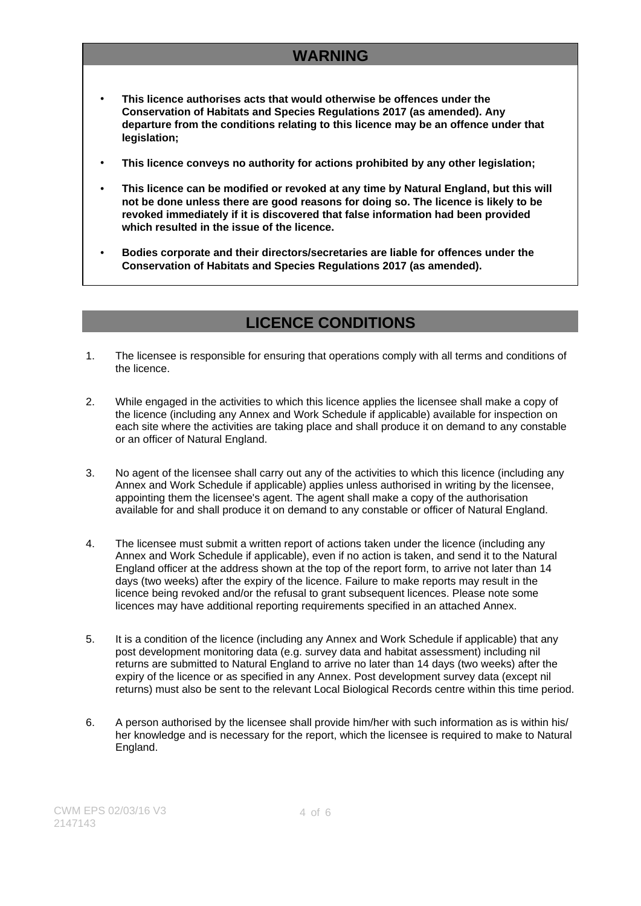# **WARNING**

- **This licence authorises acts that would otherwise be offences under the Conservation of Habitats and Species Regulations 2017 (as amended). Any departure from the conditions relating to this licence may be an offence under that legislation;**
- **This licence conveys no authority for actions prohibited by any other legislation;**
- **This licence can be modified or revoked at any time by Natural England, but this will not be done unless there are good reasons for doing so. The licence is likely to be revoked immediately if it is discovered that false information had been provided which resulted in the issue of the licence.**
- **Bodies corporate and their directors/secretaries are liable for offences under the Conservation of Habitats and Species Regulations 2017 (as amended).**

## **LICENCE CONDITIONS**

- 1. The licensee is responsible for ensuring that operations comply with all terms and conditions of the licence.
- 2. While engaged in the activities to which this licence applies the licensee shall make a copy of the licence (including any Annex and Work Schedule if applicable) available for inspection on each site where the activities are taking place and shall produce it on demand to any constable or an officer of Natural England.
- 3. No agent of the licensee shall carry out any of the activities to which this licence (including any Annex and Work Schedule if applicable) applies unless authorised in writing by the licensee, appointing them the licensee's agent. The agent shall make a copy of the authorisation available for and shall produce it on demand to any constable or officer of Natural England.
- 4. The licensee must submit a written report of actions taken under the licence (including any Annex and Work Schedule if applicable), even if no action is taken, and send it to the Natural England officer at the address shown at the top of the report form, to arrive not later than 14 days (two weeks) after the expiry of the licence. Failure to make reports may result in the licence being revoked and/or the refusal to grant subsequent licences. Please note some licences may have additional reporting requirements specified in an attached Annex.
- 5. It is a condition of the licence (including any Annex and Work Schedule if applicable) that any post development monitoring data (e.g. survey data and habitat assessment) including nil returns are submitted to Natural England to arrive no later than 14 days (two weeks) after the expiry of the licence or as specified in any Annex. Post development survey data (except nil returns) must also be sent to the relevant Local Biological Records centre within this time period.
- 6. A person authorised by the licensee shall provide him/her with such information as is within his/ her knowledge and is necessary for the report, which the licensee is required to make to Natural England.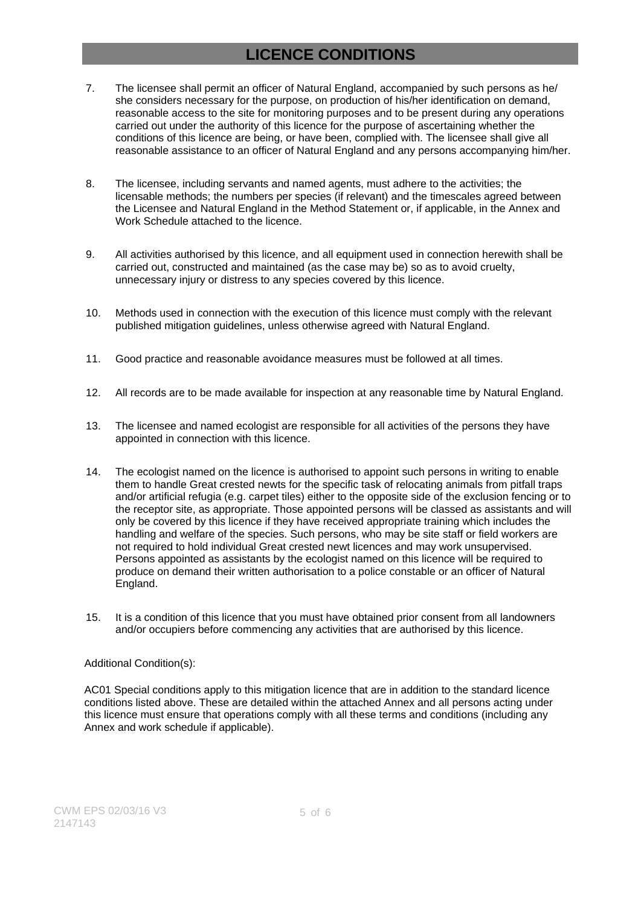## **LICENCE CONDITIONS**

- 7. The licensee shall permit an officer of Natural England, accompanied by such persons as he/ she considers necessary for the purpose, on production of his/her identification on demand, reasonable access to the site for monitoring purposes and to be present during any operations carried out under the authority of this licence for the purpose of ascertaining whether the conditions of this licence are being, or have been, complied with. The licensee shall give all reasonable assistance to an officer of Natural England and any persons accompanying him/her.
- 8. The licensee, including servants and named agents, must adhere to the activities; the licensable methods; the numbers per species (if relevant) and the timescales agreed between the Licensee and Natural England in the Method Statement or, if applicable, in the Annex and Work Schedule attached to the licence.
- 9. All activities authorised by this licence, and all equipment used in connection herewith shall be carried out, constructed and maintained (as the case may be) so as to avoid cruelty, unnecessary injury or distress to any species covered by this licence.
- 10. Methods used in connection with the execution of this licence must comply with the relevant published mitigation guidelines, unless otherwise agreed with Natural England.
- 11. Good practice and reasonable avoidance measures must be followed at all times.
- 12. All records are to be made available for inspection at any reasonable time by Natural England.
- 13. The licensee and named ecologist are responsible for all activities of the persons they have appointed in connection with this licence.
- 14. The ecologist named on the licence is authorised to appoint such persons in writing to enable them to handle Great crested newts for the specific task of relocating animals from pitfall traps and/or artificial refugia (e.g. carpet tiles) either to the opposite side of the exclusion fencing or to the receptor site, as appropriate. Those appointed persons will be classed as assistants and will only be covered by this licence if they have received appropriate training which includes the handling and welfare of the species. Such persons, who may be site staff or field workers are not required to hold individual Great crested newt licences and may work unsupervised. Persons appointed as assistants by the ecologist named on this licence will be required to produce on demand their written authorisation to a police constable or an officer of Natural England.
- 15. It is a condition of this licence that you must have obtained prior consent from all landowners and/or occupiers before commencing any activities that are authorised by this licence.

#### Additional Condition(s):

AC01 Special conditions apply to this mitigation licence that are in addition to the standard licence conditions listed above. These are detailed within the attached Annex and all persons acting under this licence must ensure that operations comply with all these terms and conditions (including any Annex and work schedule if applicable).